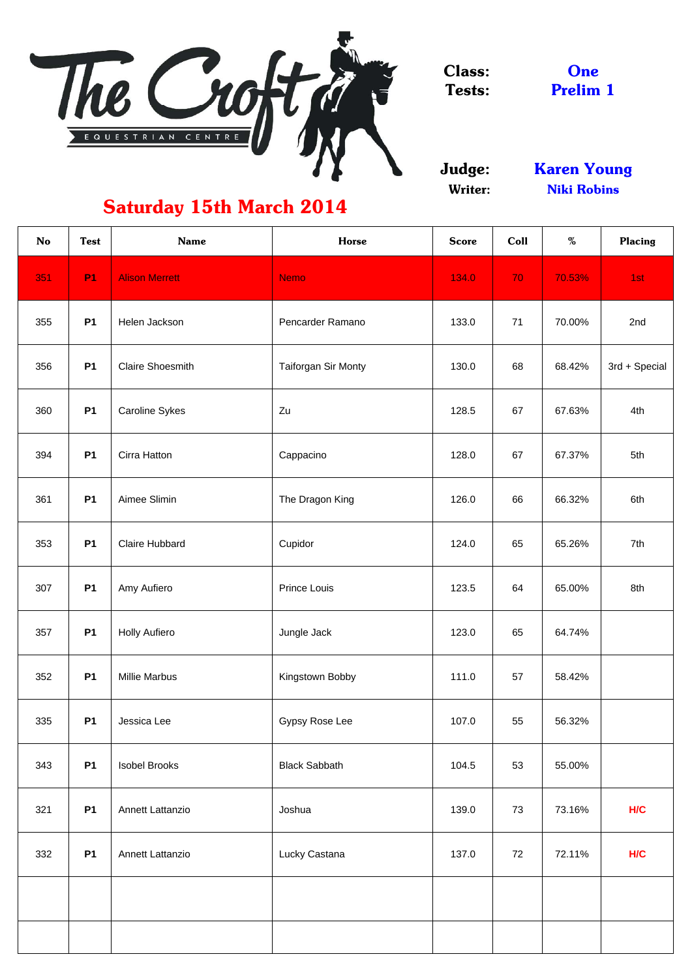

Class: Tests:

Judge: Writer:

Prelim 1 **One** 

| <b>No</b> | <b>Test</b> | <b>Name</b>             | <b>Horse</b>          | <b>Score</b> | Coll | $\%$   | <b>Placing</b> |
|-----------|-------------|-------------------------|-----------------------|--------------|------|--------|----------------|
| 351       | <b>P1</b>   | <b>Alison Merrett</b>   | <b>Nemo</b>           | 134.0        | 70   | 70.53% | 1st            |
| 355       | <b>P1</b>   | Helen Jackson           | Pencarder Ramano      | 133.0        | 71   | 70.00% | 2nd            |
| 356       | <b>P1</b>   | <b>Claire Shoesmith</b> | Taiforgan Sir Monty   | 130.0        | 68   | 68.42% | 3rd + Special  |
| 360       | <b>P1</b>   | <b>Caroline Sykes</b>   | Zu                    | 128.5        | 67   | 67.63% | 4th            |
| 394       | <b>P1</b>   | Cirra Hatton            | Cappacino             | 128.0        | 67   | 67.37% | 5th            |
| 361       | <b>P1</b>   | Aimee Slimin            | The Dragon King       | 126.0        | 66   | 66.32% | 6th            |
| 353       | <b>P1</b>   | <b>Claire Hubbard</b>   | Cupidor               | 124.0        | 65   | 65.26% | 7th            |
| 307       | <b>P1</b>   | Amy Aufiero             | <b>Prince Louis</b>   | 123.5        | 64   | 65.00% | 8th            |
| 357       | <b>P1</b>   | <b>Holly Aufiero</b>    | Jungle Jack           | 123.0        | 65   | 64.74% |                |
| 352       | <b>P1</b>   | <b>Millie Marbus</b>    | Kingstown Bobby       | 111.0        | 57   | 58.42% |                |
| 335       | <b>P1</b>   | Jessica Lee             | <b>Gypsy Rose Lee</b> | 107.0        | 55   | 56.32% |                |
| 343       | <b>P1</b>   | <b>Isobel Brooks</b>    | <b>Black Sabbath</b>  | 104.5        | 53   | 55.00% |                |
| 321       | <b>P1</b>   | <b>Annett Lattanzio</b> | Joshua                | 139.0        | 73   | 73.16% | H/C            |
| 332       | <b>P1</b>   | <b>Annett Lattanzio</b> | Lucky Castana         | 137.0        | 72   | 72.11% | H/C            |
|           |             |                         |                       |              |      |        |                |
|           |             |                         |                       |              |      |        |                |

## Saturday 15th March 2014

Niki Robins Karen Young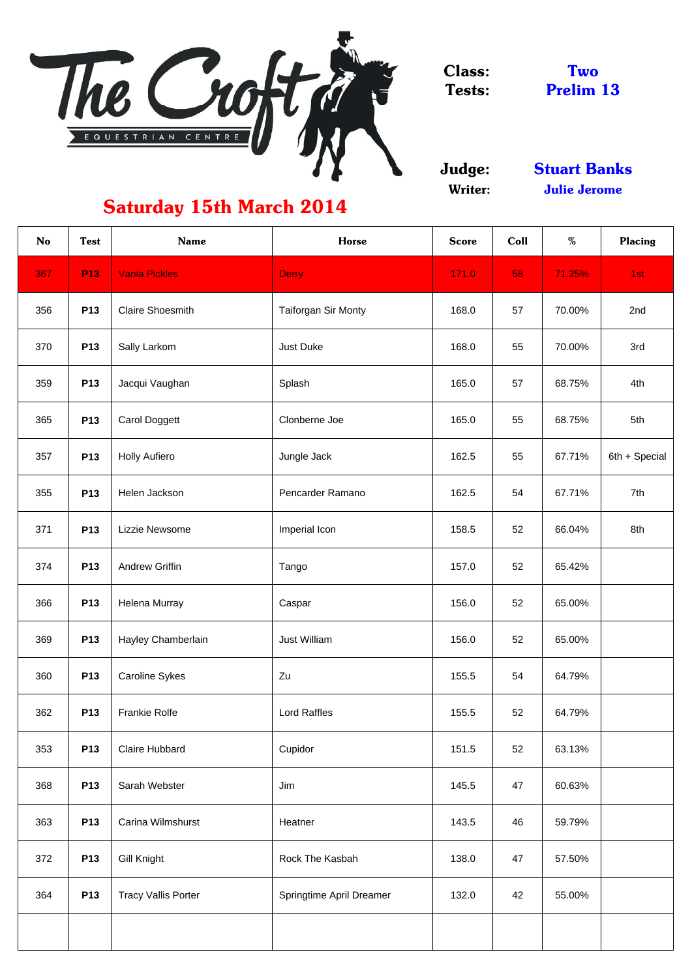

Class: Tests:

Judge: Writer:

| <b>No</b> | <b>Test</b> | <b>Name</b>                | <b>Horse</b>             | <b>Score</b> | Coll | %      | <b>Placing</b> |
|-----------|-------------|----------------------------|--------------------------|--------------|------|--------|----------------|
| 367       | <b>P13</b>  | <b>Vania Pickles</b>       | <b>Derry</b>             | 171.0        | 58   | 71.25% | 1st            |
| 356       | P13         | <b>Claire Shoesmith</b>    | Taiforgan Sir Monty      | 168.0        | 57   | 70.00% | 2nd            |
| 370       | P13         | Sally Larkom               | <b>Just Duke</b>         | 168.0        | 55   | 70.00% | 3rd            |
| 359       | P13         | Jacqui Vaughan             | Splash                   | 165.0        | 57   | 68.75% | 4th            |
| 365       | P13         | <b>Carol Doggett</b>       | Clonberne Joe            | 165.0        | 55   | 68.75% | 5th            |
| 357       | P13         | <b>Holly Aufiero</b>       | Jungle Jack              | 162.5        | 55   | 67.71% | 6th + Special  |
| 355       | P13         | Helen Jackson              | Pencarder Ramano         | 162.5        | 54   | 67.71% | 7th            |
| 371       | P13         | Lizzie Newsome             | Imperial Icon            | 158.5        | 52   | 66.04% | 8th            |
| 374       | <b>P13</b>  | <b>Andrew Griffin</b>      | Tango                    | 157.0        | 52   | 65.42% |                |
| 366       | P13         | Helena Murray              | Caspar                   | 156.0        | 52   | 65.00% |                |
| 369       | P13         | Hayley Chamberlain         | Just William             | 156.0        | 52   | 65.00% |                |
| 360       | P13         | <b>Caroline Sykes</b>      | Zu                       | 155.5        | 54   | 64.79% |                |
| 362       | P13         | <b>Frankie Rolfe</b>       | <b>Lord Raffles</b>      | 155.5        | 52   | 64.79% |                |
| 353       | P13         | <b>Claire Hubbard</b>      | Cupidor                  | 151.5        | 52   | 63.13% |                |
| 368       | P13         | Sarah Webster              | Jim                      | 145.5        | 47   | 60.63% |                |
| 363       | P13         | <b>Carina Wilmshurst</b>   | Heatner                  | 143.5        | 46   | 59.79% |                |
| 372       | P13         | Gill Knight                | Rock The Kasbah          | 138.0        | 47   | 57.50% |                |
| 364       | P13         | <b>Tracy Vallis Porter</b> | Springtime April Dreamer | 132.0        | 42   | 55.00% |                |
|           |             |                            |                          |              |      |        |                |

Two Prelim 13

Stuart Banks Julie Jerome

## Saturday 15th March 2014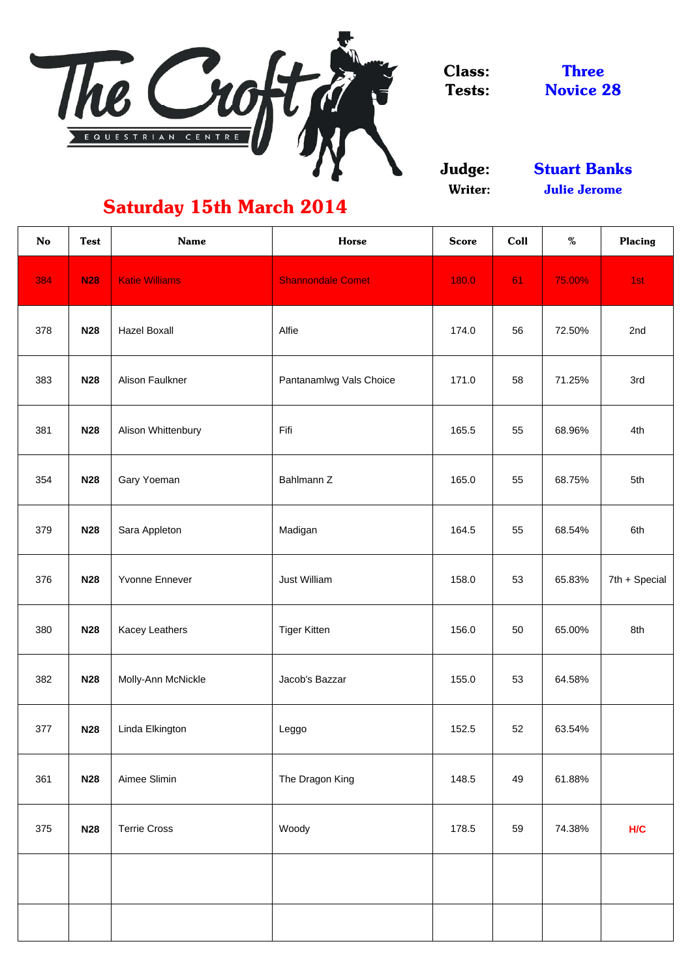

Class: Tests:

Judge: Writer:

| <b>No</b> | <b>Test</b> | <b>Name</b>           | <b>Horse</b>             | <b>Score</b> | Coll | $\%$   | <b>Placing</b> |
|-----------|-------------|-----------------------|--------------------------|--------------|------|--------|----------------|
| 384       | <b>N28</b>  | <b>Katie Williams</b> | <b>Shannondale Comet</b> | 180.0        | 61   | 75.00% | 1st            |
| 378       | <b>N28</b>  | <b>Hazel Boxall</b>   | Alfie                    | 174.0        | 56   | 72.50% | 2nd            |
| 383       | <b>N28</b>  | Alison Faulkner       | Pantanamlwg Vals Choice  | 171.0        | 58   | 71.25% | 3rd            |
| 381       | <b>N28</b>  | Alison Whittenbury    | Fifi                     | 165.5        | 55   | 68.96% | 4th            |
| 354       | <b>N28</b>  | Gary Yoeman           | Bahlmann Z               | 165.0        | 55   | 68.75% | 5th            |
| 379       | <b>N28</b>  | Sara Appleton         | Madigan                  | 164.5        | 55   | 68.54% | 6th            |
| 376       | <b>N28</b>  | <b>Yvonne Ennever</b> | <b>Just William</b>      | 158.0        | 53   | 65.83% | 7th + Special  |
| 380       | <b>N28</b>  | <b>Kacey Leathers</b> | <b>Tiger Kitten</b>      | 156.0        | 50   | 65.00% | 8th            |
| 382       | <b>N28</b>  | Molly-Ann McNickle    | Jacob's Bazzar           | 155.0        | 53   | 64.58% |                |
| 377       | <b>N28</b>  | Linda Elkington       | Leggo                    | 152.5        | 52   | 63.54% |                |
| 361       | <b>N28</b>  | Aimee Slimin          | The Dragon King          | 148.5        | 49   | 61.88% |                |
| 375       | <b>N28</b>  | <b>Terrie Cross</b>   | Woody                    | 178.5        | 59   | 74.38% | H/C            |
|           |             |                       |                          |              |      |        |                |
|           |             |                       |                          |              |      |        |                |

Three Novice 28

## Saturday 15th March 2014

Julie Jerome Stuart Banks